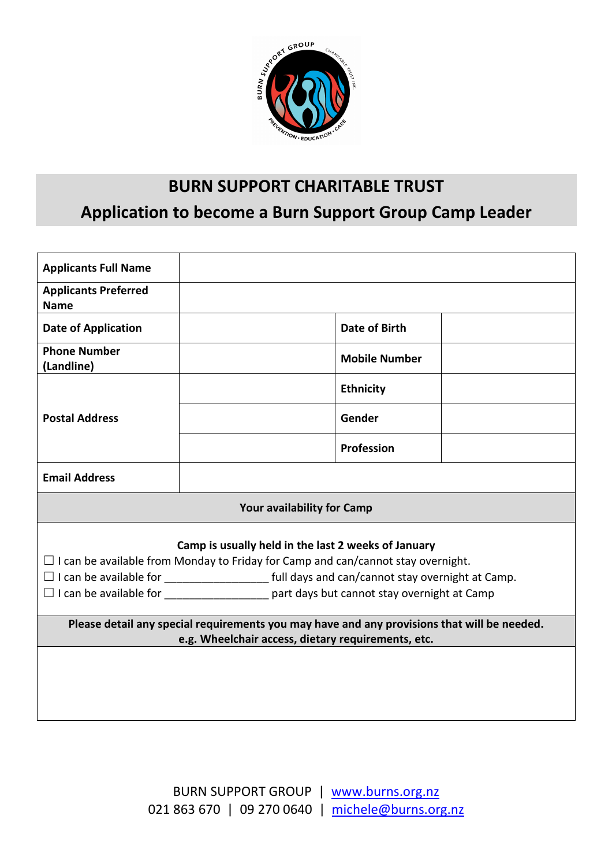

# BURN SUPPORT CHARITABLE TRUST Application to become a Burn Support Group Camp Leader

| <b>Applicants Full Name</b>                                                                                                                       |                      |  |  |  |  |  |
|---------------------------------------------------------------------------------------------------------------------------------------------------|----------------------|--|--|--|--|--|
| <b>Applicants Preferred</b><br><b>Name</b>                                                                                                        |                      |  |  |  |  |  |
| <b>Date of Application</b>                                                                                                                        | <b>Date of Birth</b> |  |  |  |  |  |
| <b>Phone Number</b><br>(Landline)                                                                                                                 | <b>Mobile Number</b> |  |  |  |  |  |
| <b>Postal Address</b>                                                                                                                             | <b>Ethnicity</b>     |  |  |  |  |  |
|                                                                                                                                                   | Gender               |  |  |  |  |  |
|                                                                                                                                                   | Profession           |  |  |  |  |  |
| <b>Email Address</b>                                                                                                                              |                      |  |  |  |  |  |
| <b>Your availability for Camp</b>                                                                                                                 |                      |  |  |  |  |  |
| Camp is usually held in the last 2 weeks of January<br>$\Box$ I can be available from Monday to Friday for Camp and can/cannot stay overnight.    |                      |  |  |  |  |  |
|                                                                                                                                                   |                      |  |  |  |  |  |
| Please detail any special requirements you may have and any provisions that will be needed.<br>e.g. Wheelchair access, dietary requirements, etc. |                      |  |  |  |  |  |
|                                                                                                                                                   |                      |  |  |  |  |  |
|                                                                                                                                                   |                      |  |  |  |  |  |
|                                                                                                                                                   |                      |  |  |  |  |  |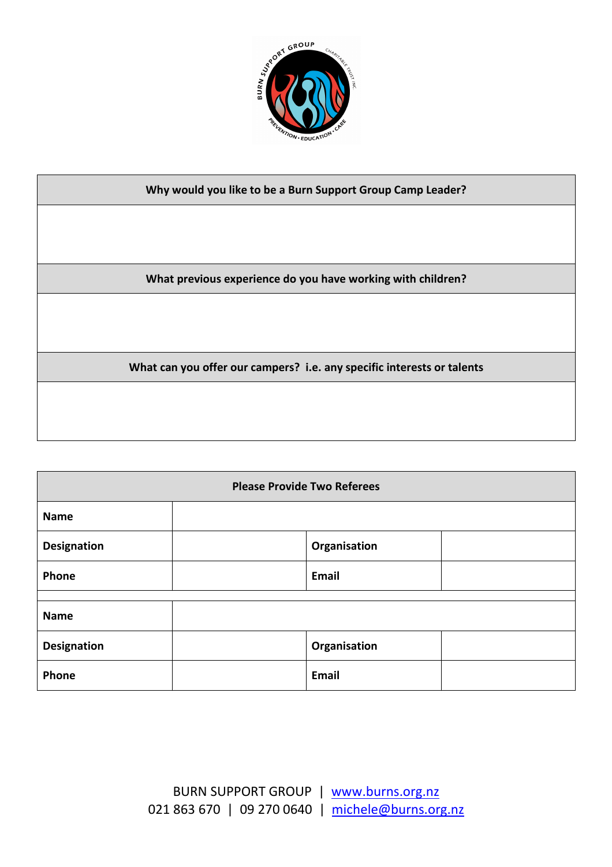

#### Why would you like to be a Burn Support Group Camp Leader?

What previous experience do you have working with children?

What can you offer our campers? i.e. any specific interests or talents

| <b>Please Provide Two Referees</b> |  |              |  |  |  |
|------------------------------------|--|--------------|--|--|--|
| <b>Name</b>                        |  |              |  |  |  |
| <b>Designation</b>                 |  | Organisation |  |  |  |
| Phone                              |  | Email        |  |  |  |
| <b>Name</b>                        |  |              |  |  |  |
| <b>Designation</b>                 |  | Organisation |  |  |  |
| Phone                              |  | Email        |  |  |  |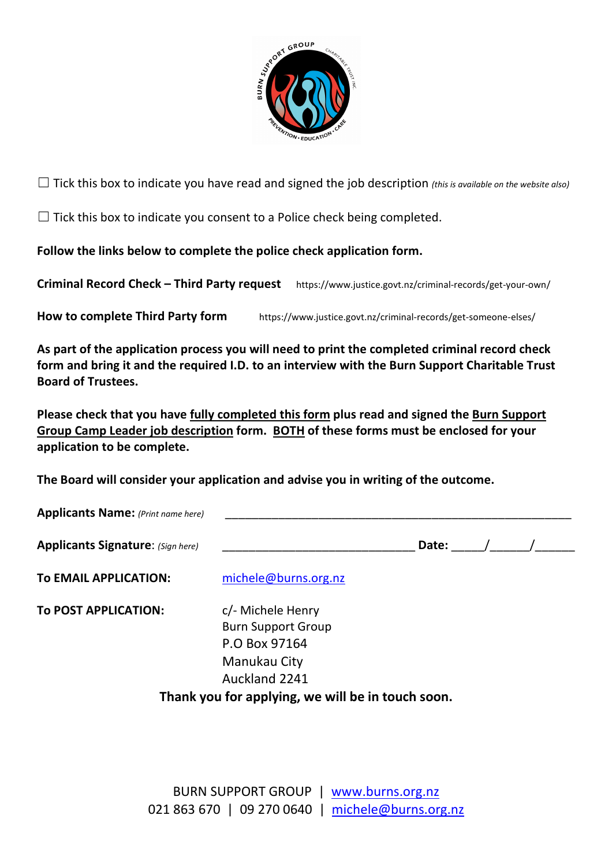

 $\Box$  Tick this box to indicate you have read and signed the job description (this is available on the website also)

 $\Box$  Tick this box to indicate you consent to a Police check being completed.

Follow the links below to complete the police check application form.

Criminal Record Check – Third Party request https://www.justice.govt.nz/criminal-records/get-your-own/

How to complete Third Party form https://www.justice.govt.nz/criminal-records/get-someone-elses/

As part of the application process you will need to print the completed criminal record check form and bring it and the required I.D. to an interview with the Burn Support Charitable Trust Board of Trustees.

Please check that you have fully completed this form plus read and signed the Burn Support Group Camp Leader job description form. BOTH of these forms must be enclosed for your application to be complete.

The Board will consider your application and advise you in writing of the outcome.

| <b>Applicants Name:</b> (Print name here) |                      |       |  |  |
|-------------------------------------------|----------------------|-------|--|--|
| <b>Applicants Signature:</b> (Sign here)  |                      | Date: |  |  |
| To EMAIL APPLICATION:                     | michele@burns.org.nz |       |  |  |
| <b>T. DOCT ADDUCATION.</b>                | بسمس الملمام المام   |       |  |  |

To POST APPLICATION: c/- Michele Henry Burn Support Group P.O Box 97164 Manukau City Auckland 2241

Thank you for applying, we will be in touch soon.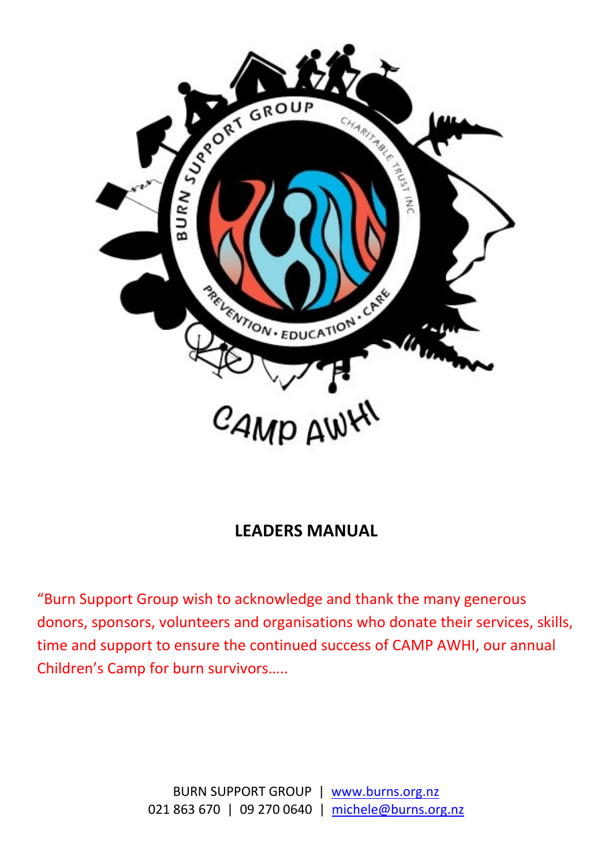

## LEADERS MANUAL

"Burn Support Group wish to acknowledge and thank the many generous donors, sponsors, volunteers and organisations who donate their services, skills, time and support to ensure the continued success of CAMP AWHI, our annual Children's Camp for burn survivors…..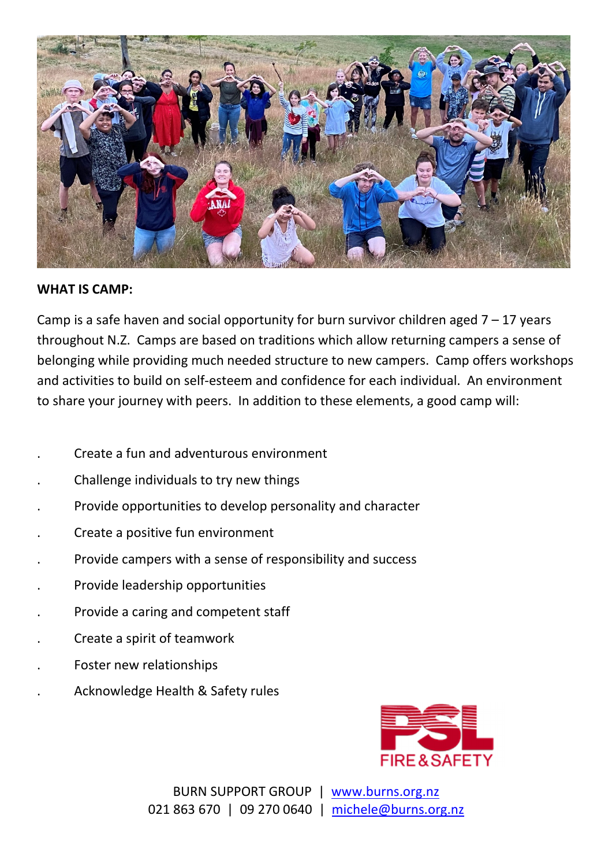

#### WHAT IS CAMP:

Camp is a safe haven and social opportunity for burn survivor children aged  $7 - 17$  years throughout N.Z. Camps are based on traditions which allow returning campers a sense of belonging while providing much needed structure to new campers. Camp offers workshops and activities to build on self-esteem and confidence for each individual. An environment to share your journey with peers. In addition to these elements, a good camp will:

- . Create a fun and adventurous environment
- . Challenge individuals to try new things
- . Provide opportunities to develop personality and character
- . Create a positive fun environment
- . Provide campers with a sense of responsibility and success
- . Provide leadership opportunities
- . Provide a caring and competent staff
- . Create a spirit of teamwork
- . Foster new relationships
- . Acknowledge Health & Safety rules



BURN SUPPORT GROUP | www.burns.org.nz 021 863 670 | 09 270 0640 | michele@burns.org.nz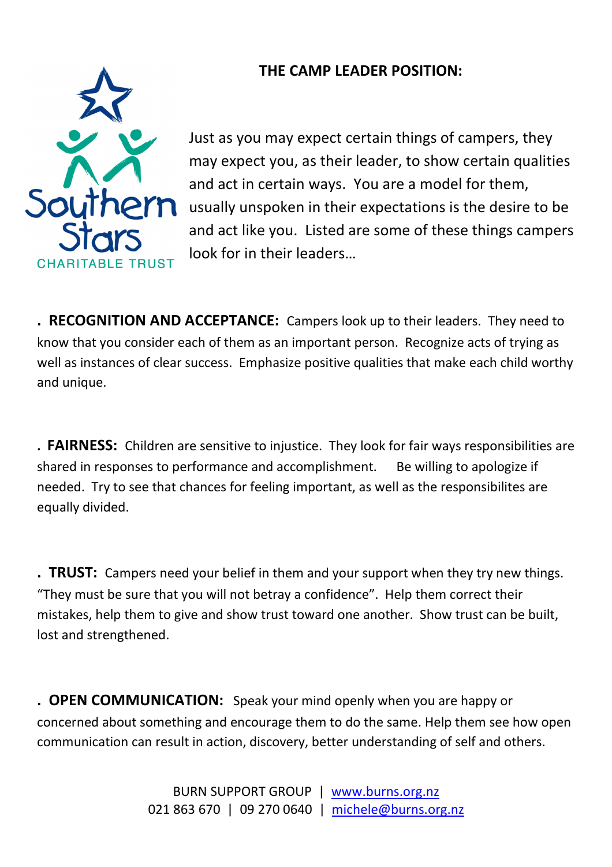### THE CAMP LEADER POSITION:



Just as you may expect certain things of campers, they may expect you, as their leader, to show certain qualities and act in certain ways. You are a model for them, usually unspoken in their expectations is the desire to be and act like you. Listed are some of these things campers look for in their leaders…

. RECOGNITION AND ACCEPTANCE: Campers look up to their leaders. They need to know that you consider each of them as an important person. Recognize acts of trying as well as instances of clear success. Emphasize positive qualities that make each child worthy and unique.

. FAIRNESS: Children are sensitive to injustice. They look for fair ways responsibilities are shared in responses to performance and accomplishment. Be willing to apologize if needed. Try to see that chances for feeling important, as well as the responsibilites are equally divided.

. TRUST: Campers need your belief in them and your support when they try new things. "They must be sure that you will not betray a confidence". Help them correct their mistakes, help them to give and show trust toward one another. Show trust can be built, lost and strengthened.

. OPEN COMMUNICATION: Speak your mind openly when you are happy or concerned about something and encourage them to do the same. Help them see how open communication can result in action, discovery, better understanding of self and others.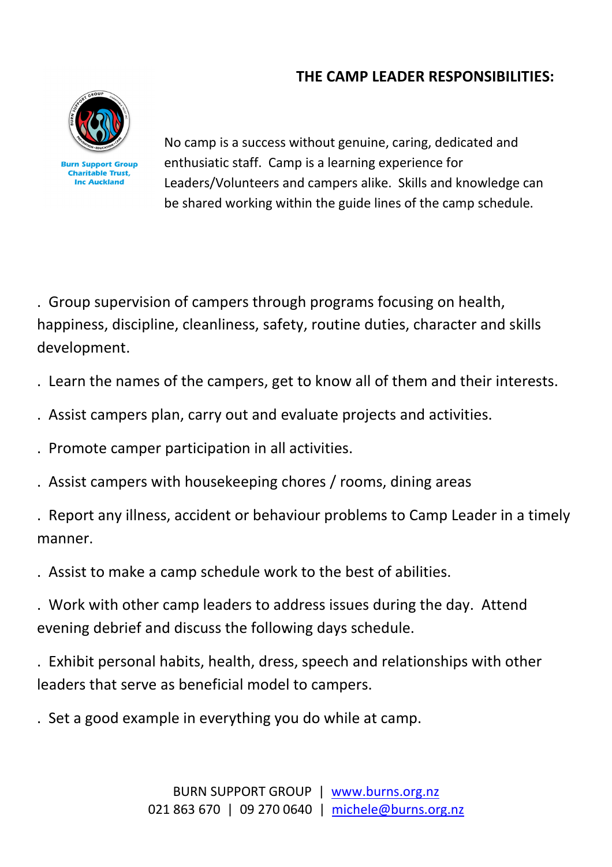### THE CAMP LEADER RESPONSIBILITIES:



No camp is a success without genuine, caring, dedicated and enthusiatic staff. Camp is a learning experience for Leaders/Volunteers and campers alike. Skills and knowledge can be shared working within the guide lines of the camp schedule.

. Group supervision of campers through programs focusing on health, happiness, discipline, cleanliness, safety, routine duties, character and skills development.

- . Learn the names of the campers, get to know all of them and their interests.
- . Assist campers plan, carry out and evaluate projects and activities.
- . Promote camper participation in all activities.
- . Assist campers with housekeeping chores / rooms, dining areas

. Report any illness, accident or behaviour problems to Camp Leader in a timely manner.

. Assist to make a camp schedule work to the best of abilities.

. Work with other camp leaders to address issues during the day. Attend evening debrief and discuss the following days schedule.

. Exhibit personal habits, health, dress, speech and relationships with other leaders that serve as beneficial model to campers.

. Set a good example in everything you do while at camp.